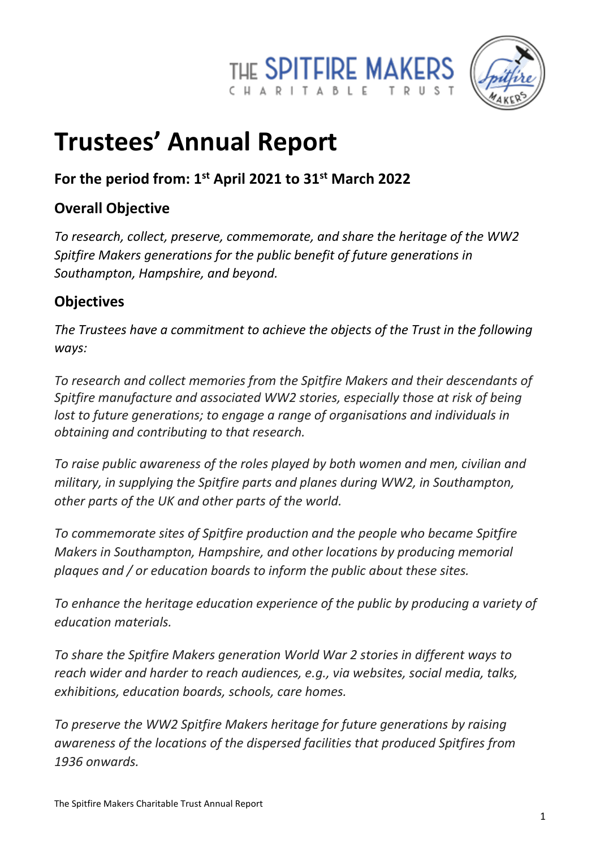



# **Trustees' Annual Report**

## **For the period from: 1st April 2021 to 31st March 2022**

## **Overall Objective**

*To research, collect, preserve, commemorate, and share the heritage of the WW2 Spitfire Makers generations for the public benefit of future generations in Southampton, Hampshire, and beyond.*

## **Objectives**

*The Trustees have a commitment to achieve the objects of the Trust in the following ways:* 

*To research and collect memories from the Spitfire Makers and their descendants of Spitfire manufacture and associated WW2 stories, especially those at risk of being lost to future generations; to engage a range of organisations and individuals in obtaining and contributing to that research.*

*To raise public awareness of the roles played by both women and men, civilian and military, in supplying the Spitfire parts and planes during WW2, in Southampton, other parts of the UK and other parts of the world.*

*To commemorate sites of Spitfire production and the people who became Spitfire Makers in Southampton, Hampshire, and other locations by producing memorial plaques and / or education boards to inform the public about these sites.*

*To enhance the heritage education experience of the public by producing a variety of education materials.*

*To share the Spitfire Makers generation World War 2 stories in different ways to reach wider and harder to reach audiences, e.g., via websites, social media, talks, exhibitions, education boards, schools, care homes.*

*To preserve the WW2 Spitfire Makers heritage for future generations by raising awareness of the locations of the dispersed facilities that produced Spitfires from 1936 onwards.*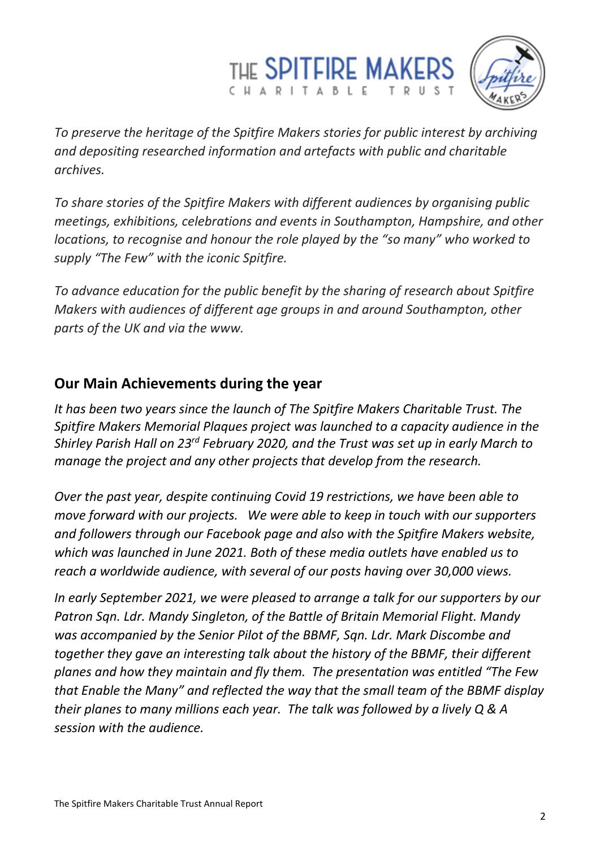



*To preserve the heritage of the Spitfire Makers stories for public interest by archiving and depositing researched information and artefacts with public and charitable archives.*

*To share stories of the Spitfire Makers with different audiences by organising public meetings, exhibitions, celebrations and events in Southampton, Hampshire, and other locations, to recognise and honour the role played by the "so many" who worked to supply "The Few" with the iconic Spitfire.*

*To advance education for the public benefit by the sharing of research about Spitfire Makers with audiences of different age groups in and around Southampton, other parts of the UK and via the www.*

#### **Our Main Achievements during the year**

*It has been two years since the launch of The Spitfire Makers Charitable Trust. The Spitfire Makers Memorial Plaques project was launched to a capacity audience in the Shirley Parish Hall on 23rd February 2020, and the Trust was set up in early March to manage the project and any other projects that develop from the research.*

*Over the past year, despite continuing Covid 19 restrictions, we have been able to move forward with our projects. We were able to keep in touch with our supporters and followers through our Facebook page and also with the Spitfire Makers website, which was launched in June 2021. Both of these media outlets have enabled us to reach a worldwide audience, with several of our posts having over 30,000 views.* 

*In early September 2021, we were pleased to arrange a talk for our supporters by our Patron Sqn. Ldr. Mandy Singleton, of the Battle of Britain Memorial Flight. Mandy was accompanied by the Senior Pilot of the BBMF, Sqn. Ldr. Mark Discombe and together they gave an interesting talk about the history of the BBMF, their different planes and how they maintain and fly them. The presentation was entitled "The Few that Enable the Many" and reflected the way that the small team of the BBMF display their planes to many millions each year. The talk was followed by a lively Q & A session with the audience.*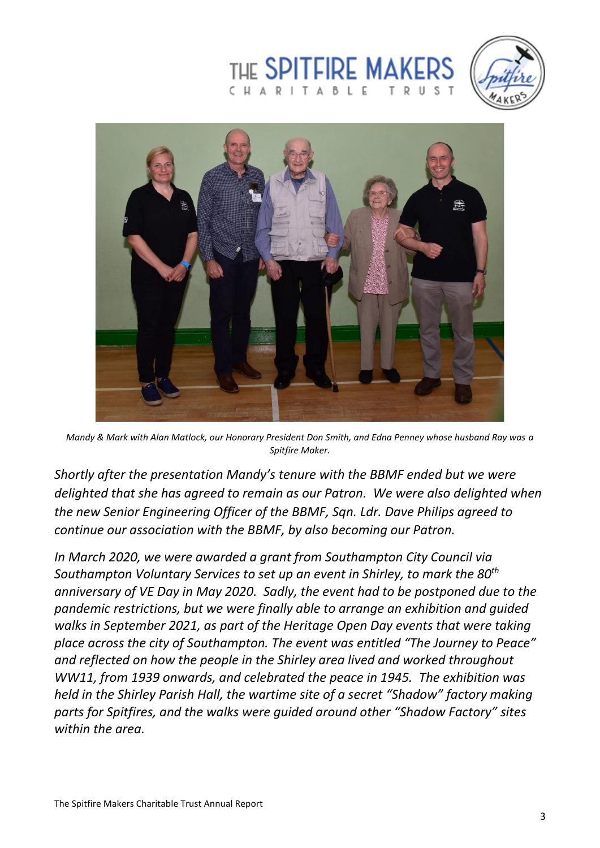





*Mandy & Mark with Alan Matlock, our Honorary President Don Smith, and Edna Penney whose husband Ray was a Spitfire Maker.*

*Shortly after the presentation Mandy's tenure with the BBMF ended but we were delighted that she has agreed to remain as our Patron. We were also delighted when the new Senior Engineering Officer of the BBMF, Sqn. Ldr. Dave Philips agreed to continue our association with the BBMF, by also becoming our Patron.*

*In March 2020, we were awarded a grant from Southampton City Council via Southampton Voluntary Services to set up an event in Shirley, to mark the 80th anniversary of VE Day in May 2020. Sadly, the event had to be postponed due to the pandemic restrictions, but we were finally able to arrange an exhibition and guided walks in September 2021, as part of the Heritage Open Day events that were taking place across the city of Southampton. The event was entitled "The Journey to Peace" and reflected on how the people in the Shirley area lived and worked throughout WW11, from 1939 onwards, and celebrated the peace in 1945. The exhibition was held in the Shirley Parish Hall, the wartime site of a secret "Shadow" factory making parts for Spitfires, and the walks were guided around other "Shadow Factory" sites within the area.*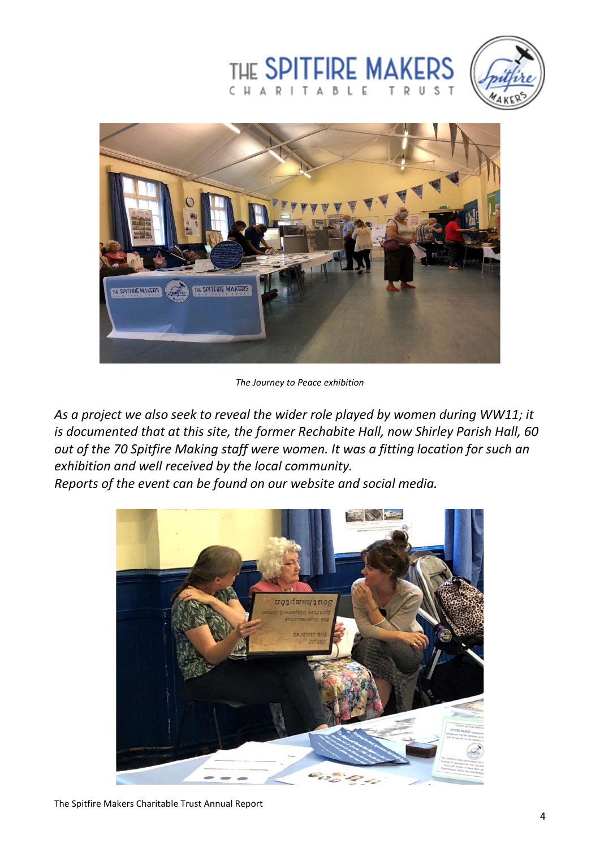





*The Journey to Peace exhibition*

*As a project we also seek to reveal the wider role played by women during WW11; it is documented that at this site, the former Rechabite Hall, now Shirley Parish Hall, 60 out of the 70 Spitfire Making staff were women. It was a fitting location for such an exhibition and well received by the local community.* 

*Reports of the event can be found on our website and social media.*

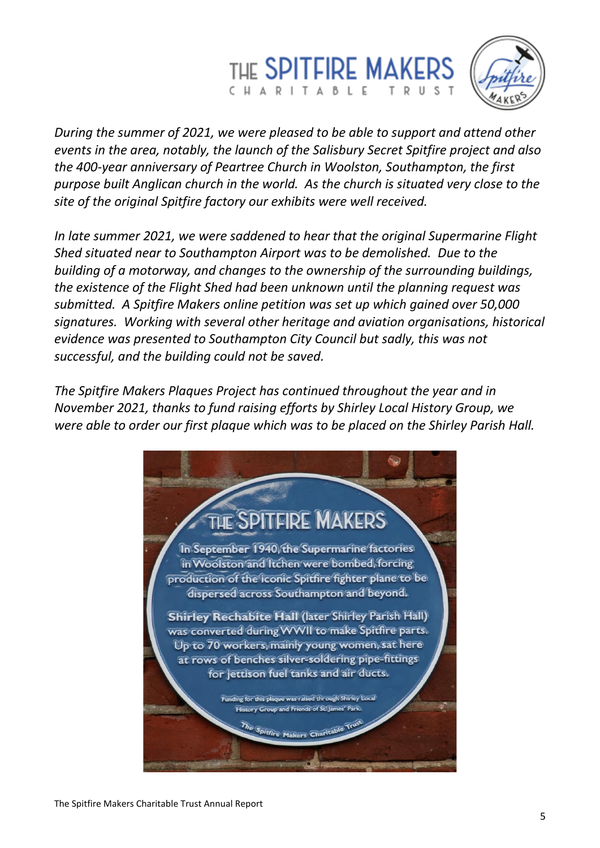



*During the summer of 2021, we were pleased to be able to support and attend other events in the area, notably, the launch of the Salisbury Secret Spitfire project and also the 400-year anniversary of Peartree Church in Woolston, Southampton, the first purpose built Anglican church in the world. As the church is situated very close to the site of the original Spitfire factory our exhibits were well received.*

*In late summer 2021, we were saddened to hear that the original Supermarine Flight Shed situated near to Southampton Airport was to be demolished. Due to the building of a motorway, and changes to the ownership of the surrounding buildings, the existence of the Flight Shed had been unknown until the planning request was submitted. A Spitfire Makers online petition was set up which gained over 50,000 signatures. Working with several other heritage and aviation organisations, historical evidence was presented to Southampton City Council but sadly, this was not successful, and the building could not be saved.* 

*The Spitfire Makers Plaques Project has continued throughout the year and in November 2021, thanks to fund raising efforts by Shirley Local History Group, we were able to order our first plaque which was to be placed on the Shirley Parish Hall.* 

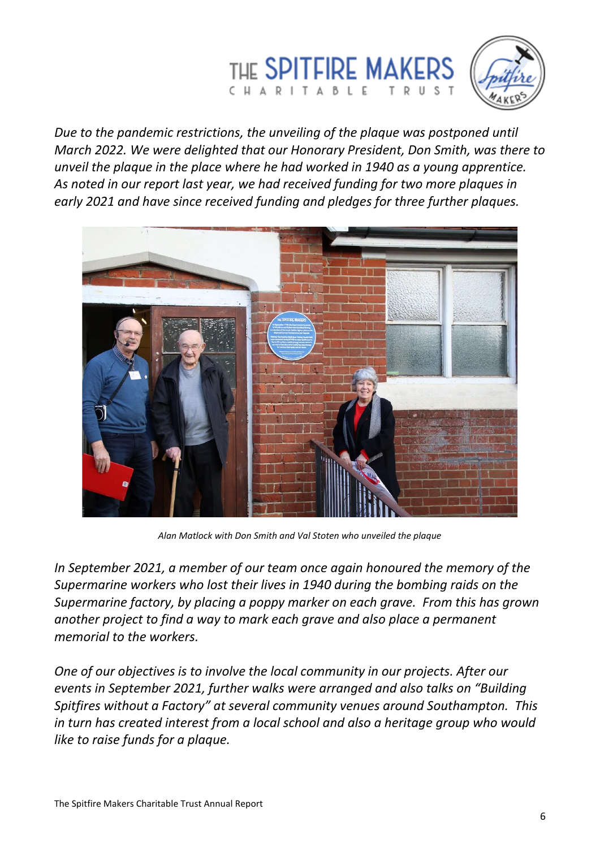



*Due to the pandemic restrictions, the unveiling of the plaque was postponed until March 2022. We were delighted that our Honorary President, Don Smith, was there to unveil the plaque in the place where he had worked in 1940 as a young apprentice. As noted in our report last year, we had received funding for two more plaques in early 2021 and have since received funding and pledges for three further plaques.* 



*Alan Matlock with Don Smith and Val Stoten who unveiled the plaque*

*In September 2021, a member of our team once again honoured the memory of the Supermarine workers who lost their lives in 1940 during the bombing raids on the Supermarine factory, by placing a poppy marker on each grave. From this has grown another project to find a way to mark each grave and also place a permanent memorial to the workers.*

*One of our objectives is to involve the local community in our projects. After our events in September 2021, further walks were arranged and also talks on "Building Spitfires without a Factory" at several community venues around Southampton. This in turn has created interest from a local school and also a heritage group who would like to raise funds for a plaque.*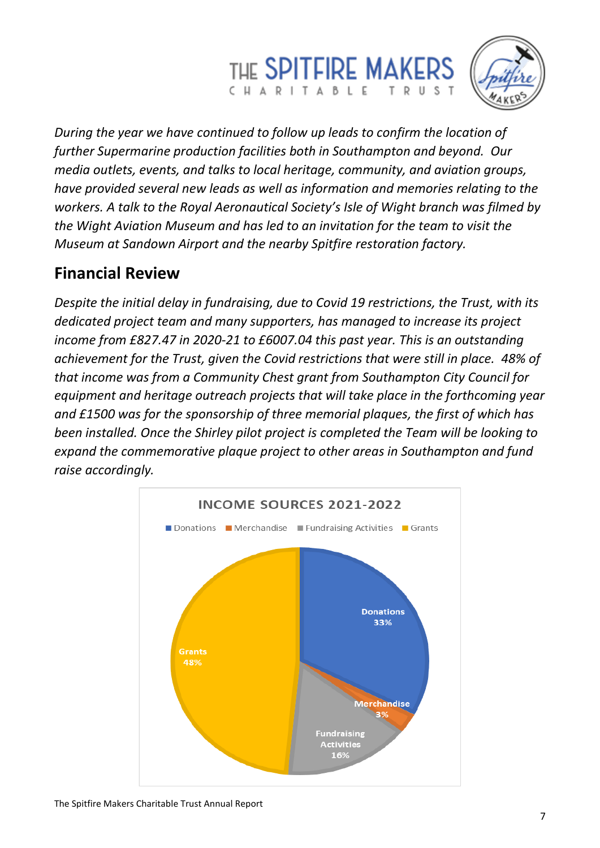## THE SPITFIRE MAKERS CHARITABLE



*During the year we have continued to follow up leads to confirm the location of further Supermarine production facilities both in Southampton and beyond. Our media outlets, events, and talks to local heritage, community, and aviation groups, have provided several new leads as well as information and memories relating to the workers. A talk to the Royal Aeronautical Society's Isle of Wight branch was filmed by the Wight Aviation Museum and has led to an invitation for the team to visit the Museum at Sandown Airport and the nearby Spitfire restoration factory.*

## **Financial Review**

*Despite the initial delay in fundraising, due to Covid 19 restrictions, the Trust, with its dedicated project team and many supporters, has managed to increase its project income from £827.47 in 2020-21 to £6007.04 this past year. This is an outstanding achievement for the Trust, given the Covid restrictions that were still in place. 48% of that income was from a Community Chest grant from Southampton City Council for equipment and heritage outreach projects that will take place in the forthcoming year and £1500 was for the sponsorship of three memorial plaques, the first of which has been installed. Once the Shirley pilot project is completed the Team will be looking to expand the commemorative plaque project to other areas in Southampton and fund raise accordingly.*

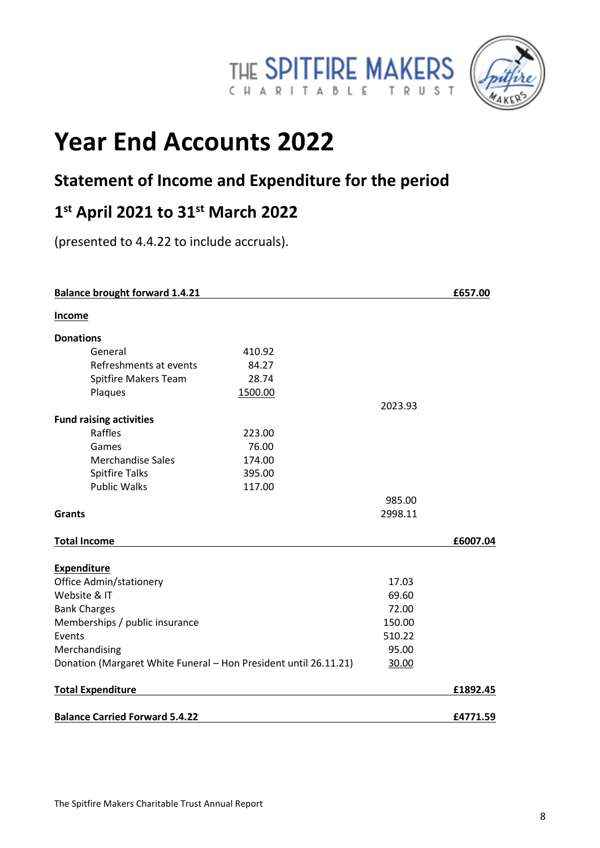



## **Year End Accounts 2022**

## **Statement of Income and Expenditure for the period**

## **1 st April 2021 to 31st March 2022**

(presented to 4.4.22 to include accruals).

| <b>Balance brought forward 1.4.21</b>                            |         |                 | £657.00  |
|------------------------------------------------------------------|---------|-----------------|----------|
| <b>Income</b>                                                    |         |                 |          |
| <b>Donations</b>                                                 |         |                 |          |
| General                                                          | 410.92  |                 |          |
| Refreshments at events                                           | 84.27   |                 |          |
| Spitfire Makers Team                                             | 28.74   |                 |          |
| Plaques                                                          | 1500.00 |                 |          |
|                                                                  |         | 2023.93         |          |
| <b>Fund raising activities</b>                                   |         |                 |          |
| Raffles                                                          | 223.00  |                 |          |
| Games                                                            | 76.00   |                 |          |
| <b>Merchandise Sales</b>                                         | 174.00  |                 |          |
| <b>Spitfire Talks</b>                                            | 395.00  |                 |          |
| <b>Public Walks</b>                                              | 117.00  |                 |          |
|                                                                  |         | 985.00          |          |
| <b>Grants</b>                                                    |         | 2998.11         |          |
| <b>Total Income</b>                                              |         |                 | £6007.04 |
| <b>Expenditure</b>                                               |         |                 |          |
| Office Admin/stationery                                          |         | 17.03           |          |
| Website & IT                                                     |         | 69.60           |          |
| <b>Bank Charges</b><br>Memberships / public insurance            |         | 72.00<br>150.00 |          |
|                                                                  |         |                 |          |
| Events                                                           |         | 510.22          |          |
| Merchandising                                                    |         | 95.00           |          |
| Donation (Margaret White Funeral - Hon President until 26.11.21) |         | 30.00           |          |
| <b>Total Expenditure</b>                                         |         |                 | £1892.45 |
| <b>Balance Carried Forward 5.4.22</b>                            |         |                 | £4771.59 |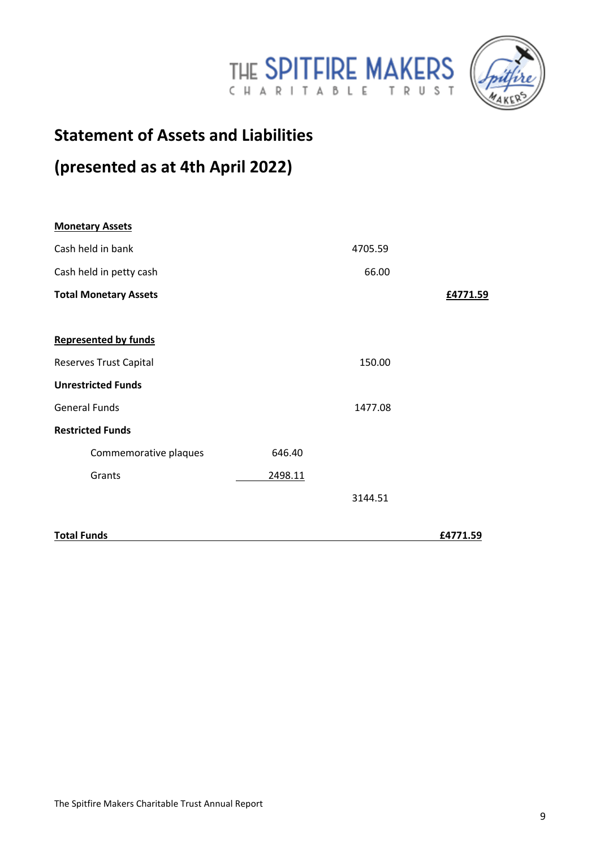



## **Statement of Assets and Liabilities**

## **(presented as at 4th April 2022)**

| <b>Monetary Assets</b>       |         |         |          |
|------------------------------|---------|---------|----------|
| Cash held in bank            |         | 4705.59 |          |
| Cash held in petty cash      |         | 66.00   |          |
| <b>Total Monetary Assets</b> |         |         | £4771.59 |
|                              |         |         |          |
| <b>Represented by funds</b>  |         |         |          |
| Reserves Trust Capital       |         | 150.00  |          |
| <b>Unrestricted Funds</b>    |         |         |          |
| <b>General Funds</b>         |         | 1477.08 |          |
| <b>Restricted Funds</b>      |         |         |          |
| Commemorative plaques        | 646.40  |         |          |
| Grants                       | 2498.11 |         |          |
|                              |         | 3144.51 |          |
| <b>Total Funds</b>           |         |         | £4771.59 |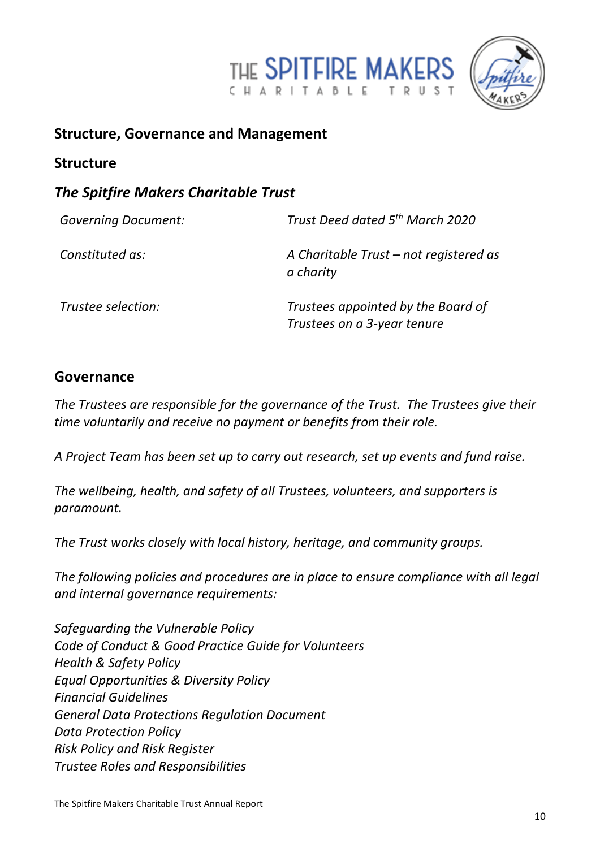



### **Structure, Governance and Management**

#### **Structure**

### *The Spitfire Makers Charitable Trust*

| <b>Governing Document:</b> | Trust Deed dated 5 <sup>th</sup> March 2020                       |  |
|----------------------------|-------------------------------------------------------------------|--|
| Constituted as:            | A Charitable Trust – not registered as<br>a charity               |  |
| Trustee selection:         | Trustees appointed by the Board of<br>Trustees on a 3-year tenure |  |

#### **Governance**

*The Trustees are responsible for the governance of the Trust. The Trustees give their time voluntarily and receive no payment or benefits from their role.*

*A Project Team has been set up to carry out research, set up events and fund raise.*

*The wellbeing, health, and safety of all Trustees, volunteers, and supporters is paramount.* 

*The Trust works closely with local history, heritage, and community groups.*

*The following policies and procedures are in place to ensure compliance with all legal and internal governance requirements:*

*Safeguarding the Vulnerable Policy Code of Conduct & Good Practice Guide for Volunteers Health & Safety Policy Equal Opportunities & Diversity Policy Financial Guidelines General Data Protections Regulation Document Data Protection Policy Risk Policy and Risk Register Trustee Roles and Responsibilities*